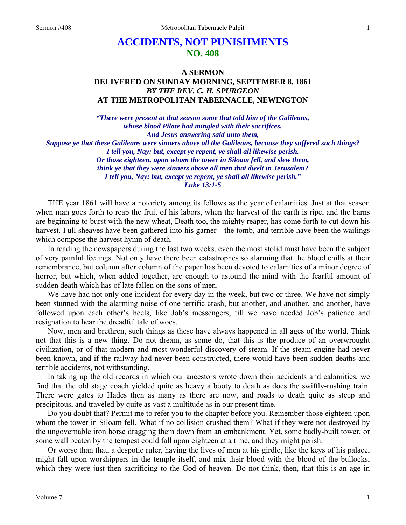## **ACCIDENTS, NOT PUNISHMENTS NO. 408**

## **A SERMON DELIVERED ON SUNDAY MORNING, SEPTEMBER 8, 1861**  *BY THE REV. C. H. SPURGEON*  **AT THE METROPOLITAN TABERNACLE, NEWINGTON**

*"There were present at that season some that told him of the Galileans, whose blood Pilate had mingled with their sacrifices. And Jesus answering said unto them, Suppose ye that these Galileans were sinners above all the Galileans, because they suffered such things? I tell you, Nay: but, except ye repent, ye shall all likewise perish. Or those eighteen, upon whom the tower in Siloam fell, and slew them, think ye that they were sinners above all men that dwelt in Jerusalem? I tell you, Nay: but, except ye repent, ye shall all likewise perish." Luke 13:1-5* 

THE year 1861 will have a notoriety among its fellows as the year of calamities. Just at that season when man goes forth to reap the fruit of his labors, when the harvest of the earth is ripe, and the barns are beginning to burst with the new wheat, Death too, the mighty reaper, has come forth to cut down his harvest. Full sheaves have been gathered into his garner—the tomb, and terrible have been the wailings which compose the harvest hymn of death.

In reading the newspapers during the last two weeks, even the most stolid must have been the subject of very painful feelings. Not only have there been catastrophes so alarming that the blood chills at their remembrance, but column after column of the paper has been devoted to calamities of a minor degree of horror, but which, when added together, are enough to astound the mind with the fearful amount of sudden death which has of late fallen on the sons of men.

We have had not only one incident for every day in the week, but two or three. We have not simply been stunned with the alarming noise of one terrific crash, but another, and another, and another, have followed upon each other's heels, like Job's messengers, till we have needed Job's patience and resignation to hear the dreadful tale of woes.

Now, men and brethren, such things as these have always happened in all ages of the world. Think not that this is a new thing. Do not dream, as some do, that this is the produce of an overwrought civilization, or of that modern and most wonderful discovery of steam. If the steam engine had never been known, and if the railway had never been constructed, there would have been sudden deaths and terrible accidents, not withstanding.

In taking up the old records in which our ancestors wrote down their accidents and calamities, we find that the old stage coach yielded quite as heavy a booty to death as does the swiftly-rushing train. There were gates to Hades then as many as there are now, and roads to death quite as steep and precipitous, and traveled by quite as vast a multitude as in our present time.

Do you doubt that? Permit me to refer you to the chapter before you. Remember those eighteen upon whom the tower in Siloam fell. What if no collision crushed them? What if they were not destroyed by the ungovernable iron horse dragging them down from an embankment. Yet, some badly-built tower, or some wall beaten by the tempest could fall upon eighteen at a time, and they might perish.

Or worse than that, a despotic ruler, having the lives of men at his girdle, like the keys of his palace, might fall upon worshippers in the temple itself, and mix their blood with the blood of the bullocks, which they were just then sacrificing to the God of heaven. Do not think, then, that this is an age in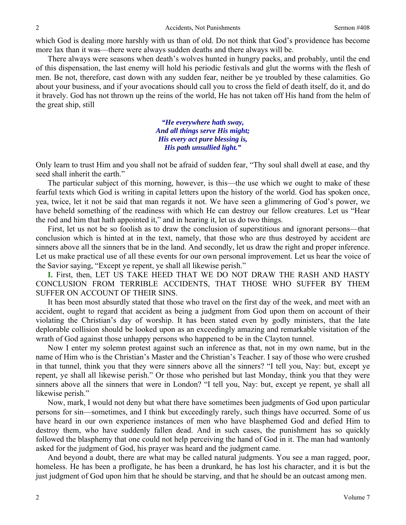which God is dealing more harshly with us than of old. Do not think that God's providence has become more lax than it was—there were always sudden deaths and there always will be.

There always were seasons when death's wolves hunted in hungry packs, and probably, until the end of this dispensation, the last enemy will hold his periodic festivals and glut the worms with the flesh of men. Be not, therefore, cast down with any sudden fear, neither be ye troubled by these calamities. Go about your business, and if your avocations should call you to cross the field of death itself, do it, and do it bravely. God has not thrown up the reins of the world, He has not taken off His hand from the helm of the great ship, still

> *"He everywhere hath sway, And all things serve His might; His every act pure blessing is, His path unsullied light."*

Only learn to trust Him and you shall not be afraid of sudden fear, "Thy soul shall dwell at ease, and thy seed shall inherit the earth."

The particular subject of this morning, however, is this—the use which we ought to make of these fearful texts which God is writing in capital letters upon the history of the world. God has spoken once, yea, twice, let it not be said that man regards it not. We have seen a glimmering of God's power, we have beheld something of the readiness with which He can destroy our fellow creatures. Let us "Hear the rod and him that hath appointed it," and in hearing it, let us do two things.

First, let us not be so foolish as to draw the conclusion of superstitious and ignorant persons—that conclusion which is hinted at in the text, namely, that those who are thus destroyed by accident are sinners above all the sinners that be in the land. And secondly, let us draw the right and proper inference. Let us make practical use of all these events for our own personal improvement. Let us hear the voice of the Savior saying, "Except ye repent, ye shall all likewise perish."

**I.** First, then, LET US TAKE HEED THAT WE DO NOT DRAW THE RASH AND HASTY CONCLUSION FROM TERRIBLE ACCIDENTS, THAT THOSE WHO SUFFER BY THEM SUFFER ON ACCOUNT OF THEIR SINS.

It has been most absurdly stated that those who travel on the first day of the week, and meet with an accident, ought to regard that accident as being a judgment from God upon them on account of their violating the Christian's day of worship. It has been stated even by godly ministers, that the late deplorable collision should be looked upon as an exceedingly amazing and remarkable visitation of the wrath of God against those unhappy persons who happened to be in the Clayton tunnel.

Now I enter my solemn protest against such an inference as that, not in my own name, but in the name of Him who is the Christian's Master and the Christian's Teacher. I say of those who were crushed in that tunnel, think you that they were sinners above all the sinners? "I tell you, Nay: but, except ye repent, ye shall all likewise perish." Or those who perished but last Monday, think you that they were sinners above all the sinners that were in London? "I tell you, Nay: but, except ye repent, ye shall all likewise perish."

Now, mark, I would not deny but what there have sometimes been judgments of God upon particular persons for sin—sometimes, and I think but exceedingly rarely, such things have occurred. Some of us have heard in our own experience instances of men who have blasphemed God and defied Him to destroy them, who have suddenly fallen dead. And in such cases, the punishment has so quickly followed the blasphemy that one could not help perceiving the hand of God in it. The man had wantonly asked for the judgment of God, his prayer was heard and the judgment came.

And beyond a doubt, there are what may be called natural judgments. You see a man ragged, poor, homeless. He has been a profligate, he has been a drunkard, he has lost his character, and it is but the just judgment of God upon him that he should be starving, and that he should be an outcast among men.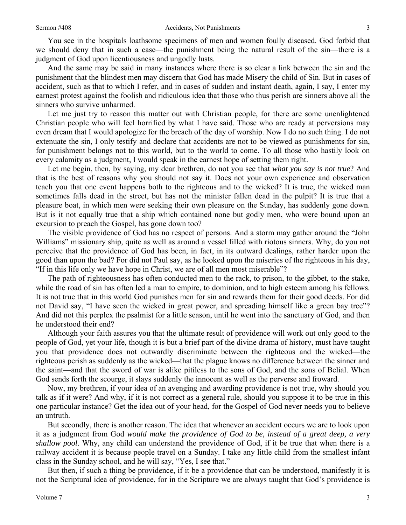You see in the hospitals loathsome specimens of men and women foully diseased. God forbid that we should deny that in such a case—the punishment being the natural result of the sin—there is a judgment of God upon licentiousness and ungodly lusts.

And the same may be said in many instances where there is so clear a link between the sin and the punishment that the blindest men may discern that God has made Misery the child of Sin. But in cases of accident, such as that to which I refer, and in cases of sudden and instant death, again, I say, I enter my earnest protest against the foolish and ridiculous idea that those who thus perish are sinners above all the sinners who survive unharmed.

Let me just try to reason this matter out with Christian people, for there are some unenlightened Christian people who will feel horrified by what I have said. Those who are ready at perversions may even dream that I would apologize for the breach of the day of worship. Now I do no such thing. I do not extenuate the sin, I only testify and declare that accidents are not to be viewed as punishments for sin, for punishment belongs not to this world, but to the world to come. To all those who hastily look on every calamity as a judgment, I would speak in the earnest hope of setting them right.

Let me begin, then, by saying, my dear brethren, do not you see that *what you say is not true*? And that is the best of reasons why you should not say it. Does not your own experience and observation teach you that one event happens both to the righteous and to the wicked? It is true, the wicked man sometimes falls dead in the street, but has not the minister fallen dead in the pulpit? It is true that a pleasure boat, in which men were seeking their own pleasure on the Sunday, has suddenly gone down. But is it not equally true that a ship which contained none but godly men, who were bound upon an excursion to preach the Gospel, has gone down too?

The visible providence of God has no respect of persons. And a storm may gather around the "John Williams" missionary ship, quite as well as around a vessel filled with riotous sinners. Why, do you not perceive that the providence of God has been, in fact, in its outward dealings, rather harder upon the good than upon the bad? For did not Paul say, as he looked upon the miseries of the righteous in his day, "If in this life only we have hope in Christ, we are of all men most miserable"?

The path of righteousness has often conducted men to the rack, to prison, to the gibbet, to the stake, while the road of sin has often led a man to empire, to dominion, and to high esteem among his fellows. It is not true that in this world God punishes men for sin and rewards them for their good deeds. For did not David say, "I have seen the wicked in great power, and spreading himself like a green bay tree"? And did not this perplex the psalmist for a little season, until he went into the sanctuary of God, and then he understood their end?

Although your faith assures you that the ultimate result of providence will work out only good to the people of God, yet your life, though it is but a brief part of the divine drama of history, must have taught you that providence does not outwardly discriminate between the righteous and the wicked—the righteous perish as suddenly as the wicked—that the plague knows no difference between the sinner and the saint—and that the sword of war is alike pitiless to the sons of God, and the sons of Belial. When God sends forth the scourge, it slays suddenly the innocent as well as the perverse and froward.

Now, my brethren, if your idea of an avenging and awarding providence is not true, why should you talk as if it were? And why, if it is not correct as a general rule, should you suppose it to be true in this one particular instance? Get the idea out of your head, for the Gospel of God never needs you to believe an untruth.

But secondly, there is another reason. The idea that whenever an accident occurs we are to look upon it as a judgment from God *would make the providence of God to be, instead of a great deep, a very shallow pool*. Why, any child can understand the providence of God, if it be true that when there is a railway accident it is because people travel on a Sunday. I take any little child from the smallest infant class in the Sunday school, and he will say, "Yes, I see that."

But then, if such a thing be providence, if it be a providence that can be understood, manifestly it is not the Scriptural idea of providence, for in the Scripture we are always taught that God's providence is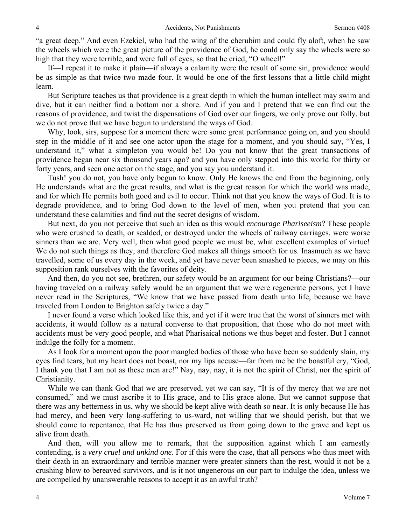"a great deep." And even Ezekiel, who had the wing of the cherubim and could fly aloft, when he saw the wheels which were the great picture of the providence of God, he could only say the wheels were so high that they were terrible, and were full of eyes, so that he cried, "O wheel!"

If—I repeat it to make it plain—if always a calamity were the result of some sin, providence would be as simple as that twice two made four. It would be one of the first lessons that a little child might learn.

But Scripture teaches us that providence is a great depth in which the human intellect may swim and dive, but it can neither find a bottom nor a shore. And if you and I pretend that we can find out the reasons of providence, and twist the dispensations of God over our fingers, we only prove our folly, but we do not prove that we have begun to understand the ways of God.

Why, look, sirs, suppose for a moment there were some great performance going on, and you should step in the middle of it and see one actor upon the stage for a moment, and you should say, "Yes, I understand it," what a simpleton you would be! Do you not know that the great transactions of providence began near six thousand years ago? and you have only stepped into this world for thirty or forty years, and seen one actor on the stage, and you say you understand it.

Tush! you do not, you have only begun to know. Only He knows the end from the beginning, only He understands what are the great results, and what is the great reason for which the world was made, and for which He permits both good and evil to occur. Think not that you know the ways of God. It is to degrade providence, and to bring God down to the level of men, when you pretend that you can understand these calamities and find out the secret designs of wisdom.

But next, do you not perceive that such an idea as this would *encourage Phariseeism*? These people who were crushed to death, or scalded, or destroyed under the wheels of railway carriages, were worse sinners than we are. Very well, then what good people we must be, what excellent examples of virtue! We do not such things as they, and therefore God makes all things smooth for us. Inasmuch as we have travelled, some of us every day in the week, and yet have never been smashed to pieces, we may on this supposition rank ourselves with the favorites of deity.

And then, do you not see, brethren, our safety would be an argument for our being Christians?—our having traveled on a railway safely would be an argument that we were regenerate persons, yet I have never read in the Scriptures, "We know that we have passed from death unto life, because we have traveled from London to Brighton safely twice a day."

I never found a verse which looked like this, and yet if it were true that the worst of sinners met with accidents, it would follow as a natural converse to that proposition, that those who do not meet with accidents must be very good people, and what Pharisaical notions we thus beget and foster. But I cannot indulge the folly for a moment.

As I look for a moment upon the poor mangled bodies of those who have been so suddenly slain, my eyes find tears, but my heart does not boast, nor my lips accuse—far from me be the boastful cry, "God, I thank you that I am not as these men are!" Nay, nay, nay, it is not the spirit of Christ, nor the spirit of Christianity.

While we can thank God that we are preserved, yet we can say, "It is of thy mercy that we are not consumed," and we must ascribe it to His grace, and to His grace alone. But we cannot suppose that there was any betterness in us, why we should be kept alive with death so near. It is only because He has had mercy, and been very long-suffering to us-ward, not willing that we should perish, but that we should come to repentance, that He has thus preserved us from going down to the grave and kept us alive from death.

And then, will you allow me to remark, that the supposition against which I am earnestly contending, is a *very cruel and unkind one*. For if this were the case, that all persons who thus meet with their death in an extraordinary and terrible manner were greater sinners than the rest, would it not be a crushing blow to bereaved survivors, and is it not ungenerous on our part to indulge the idea, unless we are compelled by unanswerable reasons to accept it as an awful truth?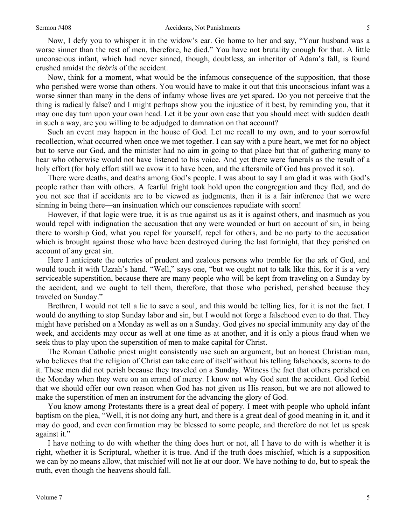Now, I defy you to whisper it in the widow's ear. Go home to her and say, "Your husband was a worse sinner than the rest of men, therefore, he died." You have not brutality enough for that. A little unconscious infant, which had never sinned, though, doubtless, an inheritor of Adam's fall, is found crushed amidst the *debris* of the accident.

Now, think for a moment, what would be the infamous consequence of the supposition, that those who perished were worse than others. You would have to make it out that this unconscious infant was a worse sinner than many in the dens of infamy whose lives are yet spared. Do you not perceive that the thing is radically false? and I might perhaps show you the injustice of it best, by reminding you, that it may one day turn upon your own head. Let it be your own case that you should meet with sudden death in such a way, are you willing to be adjudged to damnation on that account?

Such an event may happen in the house of God. Let me recall to my own, and to your sorrowful recollection, what occurred when once we met together. I can say with a pure heart, we met for no object but to serve our God, and the minister had no aim in going to that place but that of gathering many to hear who otherwise would not have listened to his voice. And yet there were funerals as the result of a holy effort (for holy effort still we avow it to have been, and the aftersmile of God has proved it so).

There were deaths, and deaths among God's people. I was about to say I am glad it was with God's people rather than with others. A fearful fright took hold upon the congregation and they fled, and do you not see that if accidents are to be viewed as judgments, then it is a fair inference that we were sinning in being there—an insinuation which our consciences repudiate with scorn!

However, if that logic were true, it is as true against us as it is against others, and inasmuch as you would repel with indignation the accusation that any were wounded or hurt on account of sin, in being there to worship God, what you repel for yourself, repel for others, and be no party to the accusation which is brought against those who have been destroyed during the last fortnight, that they perished on account of any great sin.

Here I anticipate the outcries of prudent and zealous persons who tremble for the ark of God, and would touch it with Uzzah's hand. "Well," says one, "but we ought not to talk like this, for it is a very serviceable superstition, because there are many people who will be kept from traveling on a Sunday by the accident, and we ought to tell them, therefore, that those who perished, perished because they traveled on Sunday."

Brethren, I would not tell a lie to save a soul, and this would be telling lies, for it is not the fact. I would do anything to stop Sunday labor and sin, but I would not forge a falsehood even to do that. They might have perished on a Monday as well as on a Sunday. God gives no special immunity any day of the week, and accidents may occur as well at one time as at another, and it is only a pious fraud when we seek thus to play upon the superstition of men to make capital for Christ.

The Roman Catholic priest might consistently use such an argument, but an honest Christian man, who believes that the religion of Christ can take care of itself without his telling falsehoods, scorns to do it. These men did not perish because they traveled on a Sunday. Witness the fact that others perished on the Monday when they were on an errand of mercy. I know not why God sent the accident. God forbid that we should offer our own reason when God has not given us His reason, but we are not allowed to make the superstition of men an instrument for the advancing the glory of God.

You know among Protestants there is a great deal of popery. I meet with people who uphold infant baptism on the plea, "Well, it is not doing any hurt, and there is a great deal of good meaning in it, and it may do good, and even confirmation may be blessed to some people, and therefore do not let us speak against it."

I have nothing to do with whether the thing does hurt or not, all I have to do with is whether it is right, whether it is Scriptural, whether it is true. And if the truth does mischief, which is a supposition we can by no means allow, that mischief will not lie at our door. We have nothing to do, but to speak the truth, even though the heavens should fall.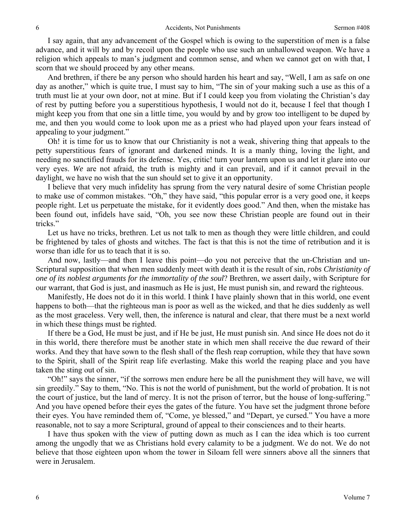I say again, that any advancement of the Gospel which is owing to the superstition of men is a false advance, and it will by and by recoil upon the people who use such an unhallowed weapon. We have a religion which appeals to man's judgment and common sense, and when we cannot get on with that, I scorn that we should proceed by any other means.

And brethren, if there be any person who should harden his heart and say, "Well, I am as safe on one day as another," which is quite true, I must say to him, "The sin of your making such a use as this of a truth must lie at your own door, not at mine. But if I could keep you from violating the Christian's day of rest by putting before you a superstitious hypothesis, I would not do it, because I feel that though I might keep you from that one sin a little time, you would by and by grow too intelligent to be duped by me, and then you would come to look upon me as a priest who had played upon your fears instead of appealing to your judgment."

Oh! it is time for us to know that our Christianity is not a weak, shivering thing that appeals to the petty superstitious fears of ignorant and darkened minds. It is a manly thing, loving the light, and needing no sanctified frauds for its defense. Yes, critic! turn your lantern upon us and let it glare into our very eyes. *We* are not afraid, the truth is mighty and it can prevail, and if it cannot prevail in the daylight, we have no wish that the sun should set to give it an opportunity.

I believe that very much infidelity has sprung from the very natural desire of some Christian people to make use of common mistakes. "Oh," they have said, "this popular error is a very good one, it keeps people right. Let us perpetuate the mistake, for it evidently does good." And then, when the mistake has been found out, infidels have said, "Oh, you see now these Christian people are found out in their tricks."

Let us have no tricks, brethren. Let us not talk to men as though they were little children, and could be frightened by tales of ghosts and witches. The fact is that this is not the time of retribution and it is worse than idle for us to teach that it is so.

And now, lastly—and then I leave this point—do you not perceive that the un-Christian and un-Scriptural supposition that when men suddenly meet with death it is the result of sin, *robs Christianity of one of its noblest arguments for the immortality of the soul*? Brethren, we assert daily, with Scripture for our warrant, that God is just, and inasmuch as He is just, He must punish sin, and reward the righteous.

Manifestly, He does not do it in this world. I think I have plainly shown that in this world, one event happens to both—that the righteous man is poor as well as the wicked, and that he dies suddenly as well as the most graceless. Very well, then, the inference is natural and clear, that there must be a next world in which these things must be righted.

If there be a God, He must be just, and if He be just, He must punish sin. And since He does not do it in this world, there therefore must be another state in which men shall receive the due reward of their works. And they that have sown to the flesh shall of the flesh reap corruption, while they that have sown to the Spirit, shall of the Spirit reap life everlasting. Make this world the reaping place and you have taken the sting out of sin.

"Oh!" says the sinner, "if the sorrows men endure here be all the punishment they will have, we will sin greedily." Say to them, "No. This is not the world of punishment, but the world of probation. It is not the court of justice, but the land of mercy. It is not the prison of terror, but the house of long-suffering." And you have opened before their eyes the gates of the future. You have set the judgment throne before their eyes. You have reminded them of, "Come, ye blessed," and "Depart, ye cursed." You have a more reasonable, not to say a more Scriptural, ground of appeal to their consciences and to their hearts.

I have thus spoken with the view of putting down as much as I can the idea which is too current among the ungodly that we as Christians hold every calamity to be a judgment. We do not. We do not believe that those eighteen upon whom the tower in Siloam fell were sinners above all the sinners that were in Jerusalem.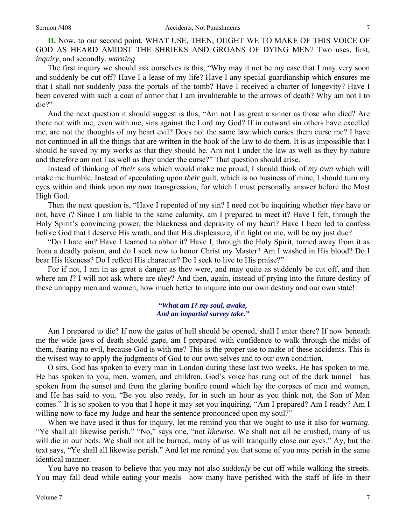**II.** Now, to our second point. WHAT USE, THEN, OUGHT WE TO MAKE OF THIS VOICE OF GOD AS HEARD AMIDST THE SHRIEKS AND GROANS OF DYING MEN? Two uses, first, *inquiry*, and secondly, *warning*.

The first inquiry we should ask ourselves is this, "Why may it not be my case that I may very soon and suddenly be cut off? Have I a lease of my life? Have I any special guardianship which ensures me that I shall not suddenly pass the portals of the tomb? Have I received a charter of longevity? Have I been covered with such a coat of armor that I am invulnerable to the arrows of death? Why am not I to die?"

And the next question it should suggest is this, "Am not I as great a sinner as those who died? Are there not with me, even with me, sins against the Lord my God? If in outward sin others have excelled me, are not the thoughts of my heart evil? Does not the same law which curses them curse me? I have not continued in all the things that are written in the book of the law to do them. It is as impossible that I should be saved by my works as that they should be. Am not I under the law as well as they by nature and therefore am not I as well as they under the curse?" That question should arise.

Instead of thinking of *their* sins which would make me proud, I should think of *my own* which will make me humble. Instead of speculating upon *their* guilt, which is no business of mine, I should turn my eyes within and think upon *my own* transgression, for which I must personally answer before the Most High God.

Then the next question is, "Have I repented of my sin? I need not be inquiring whether *they* have or not, have *I*? Since I am liable to the same calamity, am I prepared to meet it? Have I felt, through the Holy Spirit's convincing power, the blackness and depravity of my heart? Have I been led to confess before God that I deserve His wrath, and that His displeasure, if it light on me, will be my just due?

"Do I hate sin? Have I learned to abhor it? Have I, through the Holy Spirit, turned away from it as from a deadly poison, and do I seek now to honor Christ my Master? Am I washed in His blood? Do I bear His likeness? Do I reflect His character? Do I seek to live to His praise?"

For if not, I am in as great a danger as they were, and may quite as suddenly be cut off, and then where am *I*? I will not ask where are *they*? And then, again, instead of prying into the future destiny of these unhappy men and women, how much better to inquire into our own destiny and our own state!

## *"What am I? my soul, awake, And an impartial survey take."*

Am I prepared to die? If now the gates of hell should be opened, shall I enter there? If now beneath me the wide jaws of death should gape, am I prepared with confidence to walk through the midst of them, fearing no evil, because God is with me? This is the proper use to make of these accidents. This is the wisest way to apply the judgments of God to our own selves and to our own condition.

O sirs, God has spoken to every man in London during these last two weeks. He has spoken to me. He has spoken to you, men, women, and children. God's voice has rung out of the dark tunnel—has spoken from the sunset and from the glaring bonfire round which lay the corpses of men and women, and He has said to you, "Be you also ready, for in such an hour as you think not, the Son of Man comes." It is so spoken to you that I hope it may set you inquiring, "Am I prepared? Am I ready? Am I willing now to face my Judge and hear the sentence pronounced upon my soul?"

When we have used it thus for inquiry, let me remind you that we ought to use it also for *warning*. "Ye shall all likewise perish." "No," says one, "not *likewise*. We shall not all be crushed, many of us will die in our beds. We shall not all be burned, many of us will tranquilly close our eyes." Ay, but the text says, "Ye shall all likewise perish." And let me remind you that some of you may perish in the same identical manner.

You have no reason to believe that you may not also *suddenly* be cut off while walking the streets. You may fall dead while eating your meals—how many have perished with the staff of life in their

7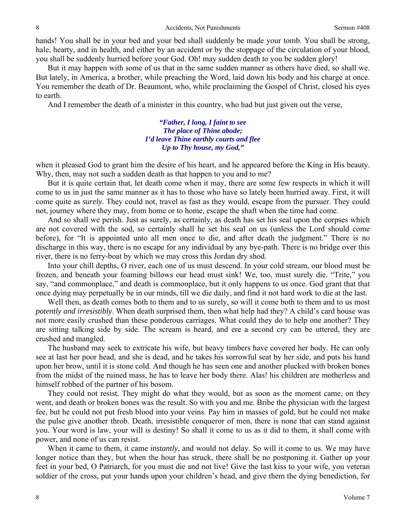hands! You shall be in your bed and your bed shall suddenly be made your tomb. You shall be strong, hale, hearty, and in health, and either by an accident or by the stoppage of the circulation of your blood, you shall be suddenly hurried before your God. Oh! may sudden death to you be sudden glory!

But it may happen with some of us that in the same sudden manner as others have died, so shall we. But lately, in America, a brother, while preaching the Word, laid down his body and his charge at once. You remember the death of Dr. Beaumont, who, while proclaiming the Gospel of Christ, closed his eyes to earth.

And I remember the death of a minister in this country, who had but just given out the verse,

*"Father, I long, I faint to see The place of Thine abode; I'd leave Thine earthly courts and flee Up to Thy house, my God,"* 

when it pleased God to grant him the desire of his heart, and he appeared before the King in His beauty. Why, then, may not such a sudden death as that happen to you and to me?

But it is quite certain that, let death come when it may, there are some few respects in which it will come to us in just the same manner as it has to those who have so lately been hurried away. First, it will come quite as *surely*. They could not, travel as fast as they would, escape from the pursuer. They could not, journey where they may, from home or to home, escape the shaft when the time had come.

And so shall we perish. Just as surely, as certainly, as death has set his seal upon the corpses which are not covered with the sod, so certainly shall he set his seal on us (unless the Lord should come before), for "It is appointed unto all men once to die, and after death the judgment." There is no discharge in this way, there is no escape for any individual by any bye-path. There is no bridge over this river, there is no ferry-boat by which we may cross this Jordan dry shod.

Into your chill depths, O river, each one of us must descend. In your cold stream, our blood must be frozen, and beneath your foaming billows our head must sink! We, too, must surely die. "Trite," you say, "and commonplace," and death is commonplace, but it only happens to us once. God grant that that once dying may perpetually be in our minds, till we die daily, and find it not hard work to die at the last.

Well then, as death comes both to them and to us surely, so will it come both to them and to us most *potently and irresistibly*. When death surprised them, then what help had they? A child's card house was not more easily crushed than these ponderous carriages. What could they do to help one another? They are sitting talking side by side. The scream is heard, and ere a second cry can be uttered, they are crushed and mangled.

The husband may seek to extricate his wife, but heavy timbers have covered her body. He can only see at last her poor head, and she is dead, and he takes his sorrowful seat by her side, and puts his hand upon her brow, until it is stone cold. And though he has seen one and another plucked with broken bones from the midst of the ruined mass, he has to leave her body there. Alas! his children are motherless and himself robbed of the partner of his bosom.

They could not resist. They might do what they would, but as soon as the moment came, on they went, and death or broken bones was the result. So with you and me. Bribe the physician with the largest fee, but he could not put fresh blood into your veins. Pay him in masses of gold, but he could not make the pulse give another throb. Death, irresistible conqueror of men, there is none that can stand against you. Your word is law, your will is destiny! So shall it come to us as it did to them, it shall come with power, and none of us can resist.

When it came to them, it came *instantly*, and would not delay. So will it come to us. We may have longer notice than they, but when the hour has struck, there shall be no postponing it. Gather up your feet in your bed, O Patriarch, for you must die and not live! Give the last kiss to your wife, you veteran soldier of the cross, put your hands upon your children's head, and give them the dying benediction, for